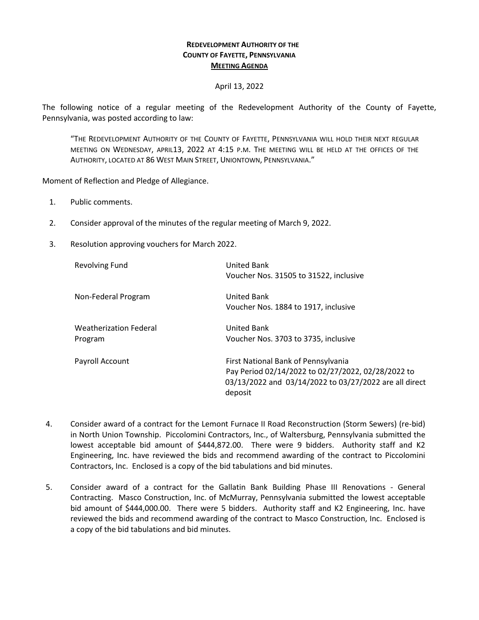## **REDEVELOPMENT AUTHORITY OF THE COUNTY OF FAYETTE, PENNSYLVANIA MEETING AGENDA**

## April 13, 2022

The following notice of a regular meeting of the Redevelopment Authority of the County of Fayette, Pennsylvania, was posted according to law:

"THE REDEVELOPMENT AUTHORITY OF THE COUNTY OF FAYETTE, PENNSYLVANIA WILL HOLD THEIR NEXT REGULAR MEETING ON WEDNESDAY, APRIL13, 2022 AT 4:15 P.M. THE MEETING WILL BE HELD AT THE OFFICES OF THE AUTHORITY, LOCATED AT 86 WEST MAIN STREET, UNIONTOWN, PENNSYLVANIA."

Moment of Reflection and Pledge of Allegiance.

- 1. Public comments.
- 2. Consider approval of the minutes of the regular meeting of March 9, 2022.
- 3. Resolution approving vouchers for March 2022.

| <b>Revolving Fund</b>                    | <b>United Bank</b><br>Voucher Nos. 31505 to 31522, inclusive                                                                                                   |
|------------------------------------------|----------------------------------------------------------------------------------------------------------------------------------------------------------------|
| Non-Federal Program                      | United Bank<br>Voucher Nos. 1884 to 1917, inclusive                                                                                                            |
| <b>Weatherization Federal</b><br>Program | <b>United Bank</b><br>Voucher Nos. 3703 to 3735, inclusive                                                                                                     |
| Payroll Account                          | First National Bank of Pennsylvania<br>Pay Period 02/14/2022 to 02/27/2022, 02/28/2022 to<br>03/13/2022 and 03/14/2022 to 03/27/2022 are all direct<br>deposit |

- 4. Consider award of a contract for the Lemont Furnace II Road Reconstruction (Storm Sewers) (re-bid) in North Union Township. Piccolomini Contractors, Inc., of Waltersburg, Pennsylvania submitted the lowest acceptable bid amount of \$444,872.00. There were 9 bidders. Authority staff and K2 Engineering, Inc. have reviewed the bids and recommend awarding of the contract to Piccolomini Contractors, Inc. Enclosed is a copy of the bid tabulations and bid minutes.
- 5. Consider award of a contract for the Gallatin Bank Building Phase III Renovations General Contracting. Masco Construction, Inc. of McMurray, Pennsylvania submitted the lowest acceptable bid amount of \$444,000.00. There were 5 bidders. Authority staff and K2 Engineering, Inc. have reviewed the bids and recommend awarding of the contract to Masco Construction, Inc. Enclosed is a copy of the bid tabulations and bid minutes.